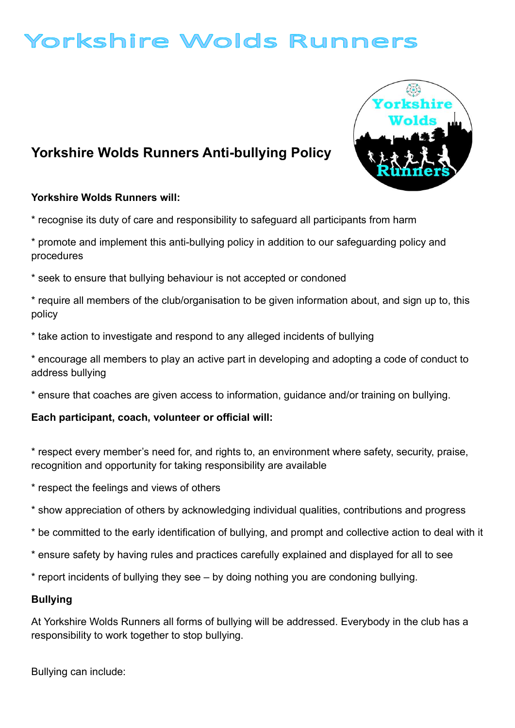# Yorkshire Wolds Runners

## Yorkshire Wolds Runners Anti-bullying Policy

### Yorkshire Wolds Runners will:

\* recognise its duty of care and responsibility to safeguard all participants from harm

\* promote and implement this anti-bullying policy in addition to our safeguarding policy and procedures

\* seek to ensure that bullying behaviour is not accepted or condoned

\* require all members of the club/organisation to be given information about, and sign up to, this policy

\* take action to investigate and respond to any alleged incidents of bullying

\* encourage all members to play an active part in developing and adopting a code of conduct to address bullying

\* ensure that coaches are given access to information, guidance and/or training on bullying.

### Each participant, coach, volunteer or official will:

\* respect every member's need for, and rights to, an environment where safety, security, praise, recognition and opportunity for taking responsibility are available

- \* respect the feelings and views of others
- \* show appreciation of others by acknowledging individual qualities, contributions and progress
- \* be committed to the early identification of bullying, and prompt and collective action to deal with it
- \* ensure safety by having rules and practices carefully explained and displayed for all to see

\* report incidents of bullying they see – by doing nothing you are condoning bullying.

#### Bullying

At Yorkshire Wolds Runners all forms of bullying will be addressed. Everybody in the club has a responsibility to work together to stop bullying.

Bullying can include: